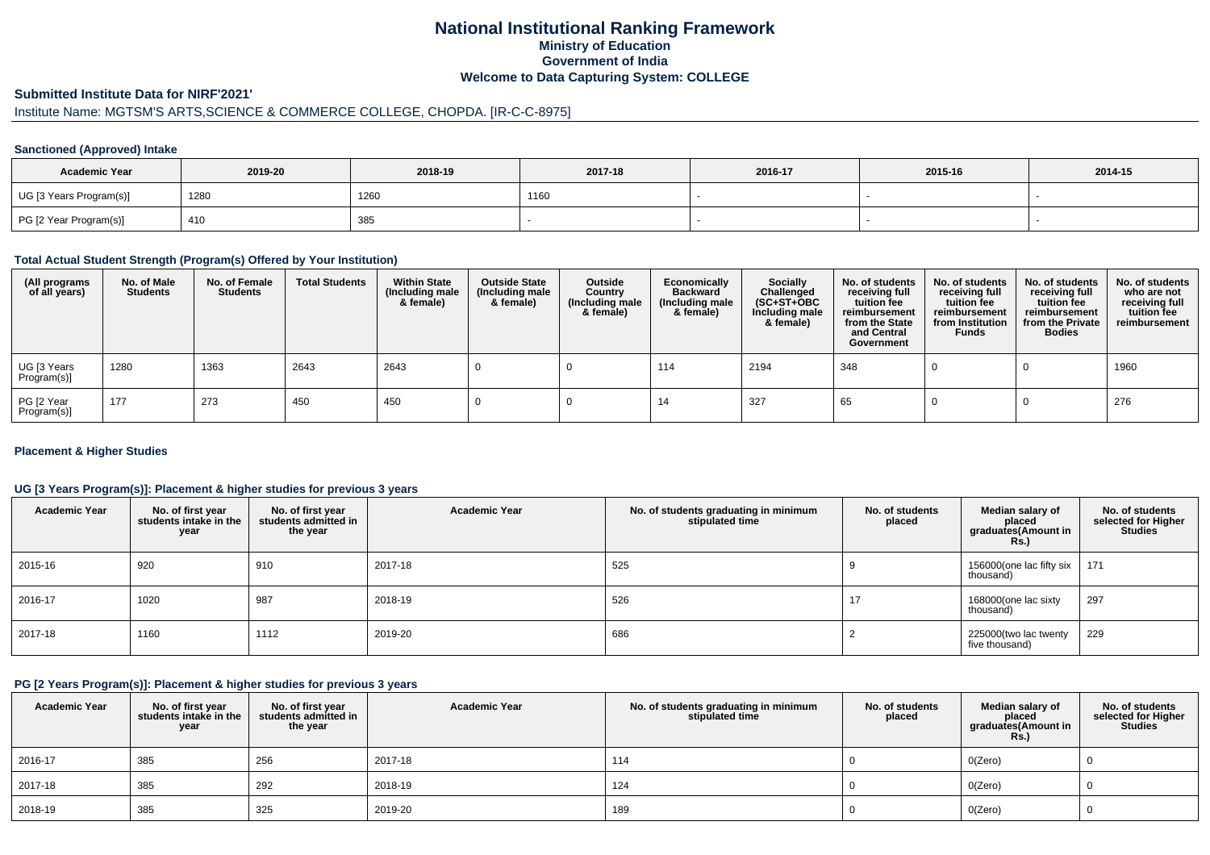## **National Institutional Ranking FrameworkMinistry of Education Government of IndiaWelcome to Data Capturing System: COLLEGE**

#### **Submitted Institute Data for NIRF'2021'**

# Institute Name: MGTSM'S ARTS,SCIENCE & COMMERCE COLLEGE, CHOPDA. [IR-C-C-8975]

### **Sanctioned (Approved) Intake**

| <b>Academic Year</b>    | 2019-20 | 2018-19 | 2017-18 | 2016-17 | 2015-16 | 2014-15 |
|-------------------------|---------|---------|---------|---------|---------|---------|
| UG [3 Years Program(s)] | 1280    | 1260    | 1160    |         |         |         |
| PG [2 Year Program(s)]  | 410     | 385     |         |         |         |         |

### **Total Actual Student Strength (Program(s) Offered by Your Institution)**

| (All programs<br>of all years) | No. of Male<br><b>Students</b> | No. of Female<br><b>Students</b> | <b>Total Students</b> | <b>Within State</b><br>(Including male<br>& female) | <b>Outside State</b><br>(Including male<br>& female) | Outside<br>Country<br>(Including male<br>& female) | Economically<br><b>Backward</b><br>(Including male<br>& female) | <b>Socially</b><br>Challenged<br>$(SC+ST+OBC)$<br>Including male<br>& female) | No. of students<br>receiving full<br>tuition fee<br>reimbursement<br>from the State<br>and Central<br>Government | No. of students<br>receiving full<br>tuition fee<br>reimbursement<br>from Institution<br><b>Funds</b> | No. of students<br>receiving full<br>tuition fee<br>reimbursement<br>from the Private<br><b>Bodies</b> | No. of students<br>who are not<br>receiving full<br>tuition fee<br>reimbursement |
|--------------------------------|--------------------------------|----------------------------------|-----------------------|-----------------------------------------------------|------------------------------------------------------|----------------------------------------------------|-----------------------------------------------------------------|-------------------------------------------------------------------------------|------------------------------------------------------------------------------------------------------------------|-------------------------------------------------------------------------------------------------------|--------------------------------------------------------------------------------------------------------|----------------------------------------------------------------------------------|
| UG [3 Years<br>Program(s)]     | 1280                           | 1363                             | 2643                  | 2643                                                |                                                      |                                                    | 114                                                             | 2194                                                                          | 348                                                                                                              |                                                                                                       |                                                                                                        | 1960                                                                             |
| PG [2 Year<br>Program(s)       | 177                            | 273                              | 450                   | 450                                                 |                                                      |                                                    | 14                                                              | 327                                                                           | 65                                                                                                               |                                                                                                       |                                                                                                        | 276                                                                              |

### **Placement & Higher Studies**

### **UG [3 Years Program(s)]: Placement & higher studies for previous 3 years**

| <b>Academic Year</b> | No. of first year<br>students intake in the<br>year | No. of first year<br>students admitted in<br>the year | <b>Academic Year</b> | No. of students graduating in minimum<br>stipulated time | No. of students<br>placed | Median salary of<br>placed<br>graduates(Amount in<br><b>Rs.)</b> | No. of students<br>selected for Higher<br><b>Studies</b> |
|----------------------|-----------------------------------------------------|-------------------------------------------------------|----------------------|----------------------------------------------------------|---------------------------|------------------------------------------------------------------|----------------------------------------------------------|
| 2015-16              | 920                                                 | 910                                                   | 2017-18              | 525                                                      |                           | 156000(one lac fifty six<br>thousand)                            | 171                                                      |
| 2016-17              | 1020                                                | 987                                                   | 2018-19              | 526                                                      | 17                        | 168000(one lac sixty<br>thousand)                                | 297                                                      |
| 2017-18              | 1160                                                | 1112                                                  | 2019-20              | 686                                                      |                           | 225000(two lac twenty<br>five thousand)                          | 229                                                      |

#### **PG [2 Years Program(s)]: Placement & higher studies for previous 3 years**

| <b>Academic Year</b> | No. of first year<br>students intake in the<br>year | No. of first year<br>students admitted in<br>the year | <b>Academic Year</b> | No. of students graduating in minimum<br>stipulated time | No. of students<br>placed | Median salary of<br>placed<br>graduates(Amount in<br><b>Rs.)</b> | No. of students<br>selected for Higher<br><b>Studies</b> |
|----------------------|-----------------------------------------------------|-------------------------------------------------------|----------------------|----------------------------------------------------------|---------------------------|------------------------------------------------------------------|----------------------------------------------------------|
| 2016-17              | 385                                                 | 256                                                   | 2017-18              | 114                                                      |                           | O(Zero)                                                          |                                                          |
| 2017-18              | 385                                                 | 292                                                   | 2018-19              | 124                                                      |                           | O(Zero)                                                          |                                                          |
| 2018-19              | 385                                                 | 325                                                   | 2019-20              | 189                                                      |                           | O(Zero)                                                          |                                                          |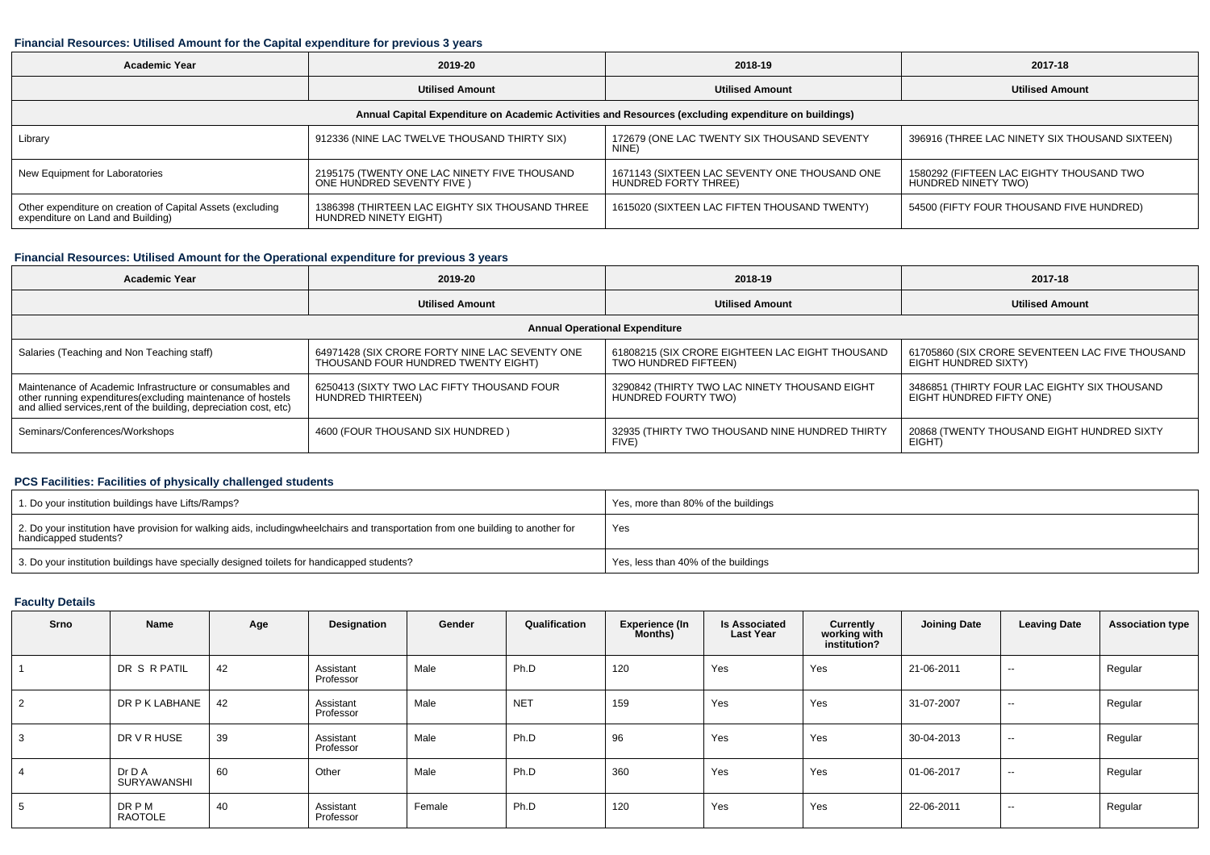### **Financial Resources: Utilised Amount for the Capital expenditure for previous 3 years**

| <b>Academic Year</b>                                                                            | 2019-20                                                                  | 2018-19                                                                                              | 2017-18                                                         |
|-------------------------------------------------------------------------------------------------|--------------------------------------------------------------------------|------------------------------------------------------------------------------------------------------|-----------------------------------------------------------------|
|                                                                                                 | <b>Utilised Amount</b>                                                   | <b>Utilised Amount</b>                                                                               | <b>Utilised Amount</b>                                          |
|                                                                                                 |                                                                          | Annual Capital Expenditure on Academic Activities and Resources (excluding expenditure on buildings) |                                                                 |
| Library                                                                                         | 912336 (NINE LAC TWELVE THOUSAND THIRTY SIX)                             | 172679 (ONE LAC TWENTY SIX THOUSAND SEVENTY<br>NINE)                                                 | 396916 (THREE LAC NINETY SIX THOUSAND SIXTEEN)                  |
| New Equipment for Laboratories                                                                  | 2195175 (TWENTY ONE LAC NINETY FIVE THOUSAND<br>ONE HUNDRED SEVENTY FIVE | 1671143 (SIXTEEN LAC SEVENTY ONE THOUSAND ONE<br>HUNDRED FORTY THREE)                                | 1580292 (FIFTEEN LAC EIGHTY THOUSAND TWO<br>HUNDRED NINETY TWO) |
| Other expenditure on creation of Capital Assets (excluding<br>expenditure on Land and Building) | 1386398 (THIRTEEN LAC EIGHTY SIX THOUSAND THREE<br>HUNDRED NINETY EIGHT) | 1615020 (SIXTEEN LAC FIFTEN THOUSAND TWENTY)                                                         | 54500 (FIFTY FOUR THOUSAND FIVE HUNDRED)                        |

## **Financial Resources: Utilised Amount for the Operational expenditure for previous 3 years**

| <b>Academic Year</b>                                                                                                                                                                           | 2019-20                                                                               | 2018-19                                                                 | 2017-18                                                                  |  |
|------------------------------------------------------------------------------------------------------------------------------------------------------------------------------------------------|---------------------------------------------------------------------------------------|-------------------------------------------------------------------------|--------------------------------------------------------------------------|--|
|                                                                                                                                                                                                | <b>Utilised Amount</b>                                                                | <b>Utilised Amount</b>                                                  | <b>Utilised Amount</b>                                                   |  |
|                                                                                                                                                                                                |                                                                                       | <b>Annual Operational Expenditure</b>                                   |                                                                          |  |
| Salaries (Teaching and Non Teaching staff)                                                                                                                                                     | 64971428 (SIX CRORE FORTY NINE LAC SEVENTY ONE<br>THOUSAND FOUR HUNDRED TWENTY EIGHT) | 61808215 (SIX CRORE EIGHTEEN LAC EIGHT THOUSAND<br>TWO HUNDRED FIFTEEN) | 61705860 (SIX CRORE SEVENTEEN LAC FIVE THOUSAND<br>EIGHT HUNDRED SIXTY)  |  |
| Maintenance of Academic Infrastructure or consumables and<br>other running expenditures(excluding maintenance of hostels<br>and allied services, rent of the building, depreciation cost, etc) | 6250413 (SIXTY TWO LAC FIFTY THOUSAND FOUR<br>HUNDRED THIRTEEN)                       | 3290842 (THIRTY TWO LAC NINETY THOUSAND EIGHT<br>HUNDRED FOURTY TWO)    | 3486851 (THIRTY FOUR LAC EIGHTY SIX THOUSAND<br>EIGHT HUNDRED FIFTY ONE) |  |
| Seminars/Conferences/Workshops                                                                                                                                                                 | 4600 (FOUR THOUSAND SIX HUNDRED)                                                      | 32935 (THIRTY TWO THOUSAND NINE HUNDRED THIRTY<br>FIVE)                 | 20868 (TWENTY THOUSAND EIGHT HUNDRED SIXTY<br>EIGHT)                     |  |

### **PCS Facilities: Facilities of physically challenged students**

| 1. Do your institution buildings have Lifts/Ramps?                                                                                                        | Yes, more than 80% of the buildings |
|-----------------------------------------------------------------------------------------------------------------------------------------------------------|-------------------------------------|
| 2. Do your institution have provision for walking aids, includingwheelchairs and transportation from one building to another for<br>handicapped students? | Yes                                 |
| 3. Do your institution buildings have specially designed toilets for handicapped students?                                                                | Yes, less than 40% of the buildings |

### **Faculty Details**

| Srno | Name                          | Age | Designation            | Gender | Qualification | Experience (In<br>Months) | <b>Is Associated</b><br><b>Last Year</b> | Currently<br>working with<br>institution? | <b>Joining Date</b> | <b>Leaving Date</b>      | <b>Association type</b> |
|------|-------------------------------|-----|------------------------|--------|---------------|---------------------------|------------------------------------------|-------------------------------------------|---------------------|--------------------------|-------------------------|
|      | DR S R PATIL                  | 42  | Assistant<br>Professor | Male   | Ph.D          | 120                       | Yes                                      | Yes                                       | 21-06-2011          | $\sim$                   | Regular                 |
| 2    | DR P K LABHANE                | 42  | Assistant<br>Professor | Male   | <b>NET</b>    | 159                       | Yes                                      | Yes                                       | 31-07-2007          | $\sim$                   | Regular                 |
| 3    | DR V R HUSE                   | 39  | Assistant<br>Professor | Male   | Ph.D          | 96                        | Yes                                      | Yes                                       | 30-04-2013          | $\sim$                   | Regular                 |
|      | Dr D A<br>SURYAWANSHI         | 60  | Other                  | Male   | Ph.D          | 360                       | Yes                                      | Yes                                       | 01-06-2017          | $\sim$                   | Regular                 |
| 5    | <b>DRPM</b><br><b>RAOTOLE</b> | 40  | Assistant<br>Professor | Female | Ph.D          | 120                       | Yes                                      | Yes                                       | 22-06-2011          | $\overline{\phantom{a}}$ | Regular                 |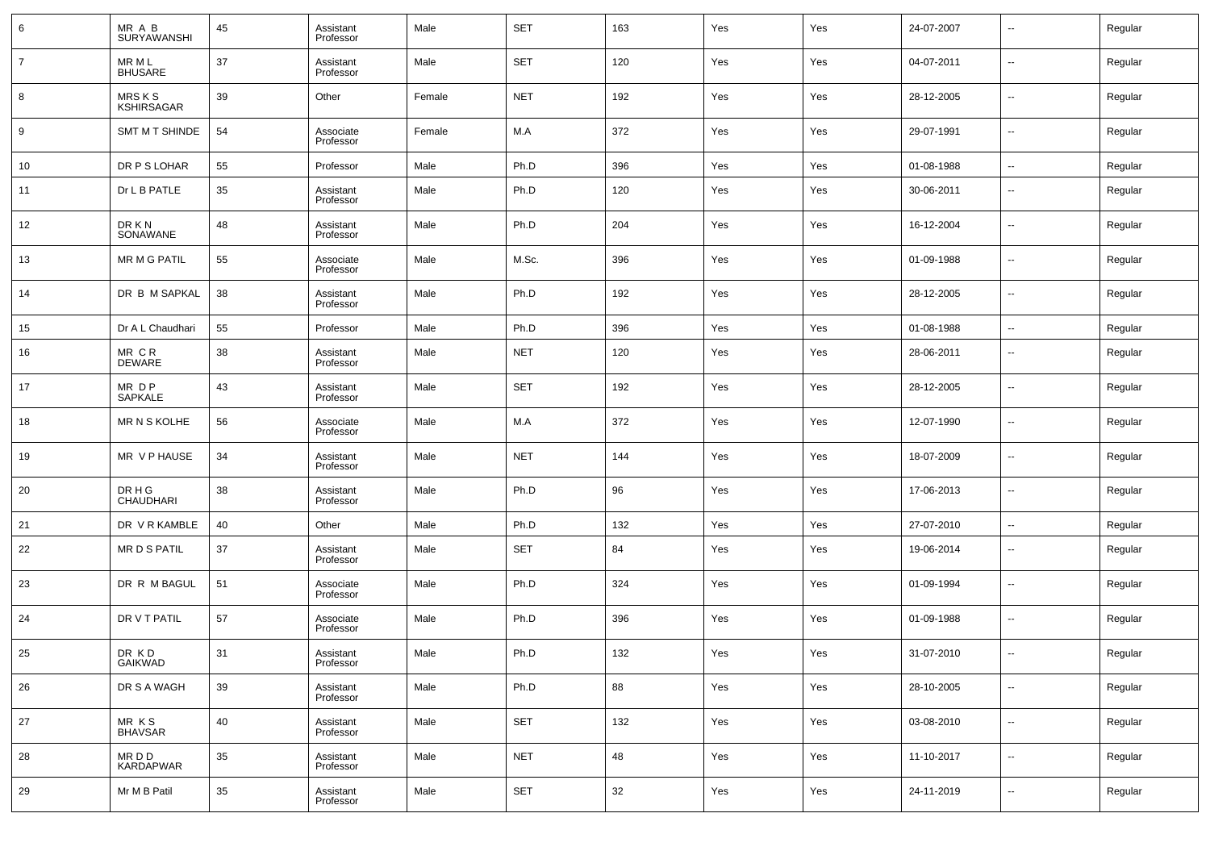| 6              | MR A B<br><b>SURYAWANSHI</b> | 45 | Assistant<br>Professor | Male   | <b>SET</b> | 163 | Yes | Yes | 24-07-2007 | $\overline{\phantom{a}}$ | Regular |
|----------------|------------------------------|----|------------------------|--------|------------|-----|-----|-----|------------|--------------------------|---------|
| $\overline{7}$ | MR M L<br><b>BHUSARE</b>     | 37 | Assistant<br>Professor | Male   | <b>SET</b> | 120 | Yes | Yes | 04-07-2011 | $\overline{\phantom{a}}$ | Regular |
| 8              | MRS K S<br><b>KSHIRSAGAR</b> | 39 | Other                  | Female | <b>NET</b> | 192 | Yes | Yes | 28-12-2005 | $\sim$                   | Regular |
| 9              | SMT M T SHINDE               | 54 | Associate<br>Professor | Female | M.A        | 372 | Yes | Yes | 29-07-1991 | $\sim$                   | Regular |
| 10             | DR P S LOHAR                 | 55 | Professor              | Male   | Ph.D       | 396 | Yes | Yes | 01-08-1988 | $\overline{\phantom{a}}$ | Regular |
| 11             | Dr L B PATLE                 | 35 | Assistant<br>Professor | Male   | Ph.D       | 120 | Yes | Yes | 30-06-2011 | $\overline{\phantom{a}}$ | Regular |
| 12             | DR K N<br>SONAWANE           | 48 | Assistant<br>Professor | Male   | Ph.D       | 204 | Yes | Yes | 16-12-2004 | ٠.                       | Regular |
| 13             | <b>MR M G PATIL</b>          | 55 | Associate<br>Professor | Male   | M.Sc.      | 396 | Yes | Yes | 01-09-1988 | --                       | Regular |
| 14             | DR B M SAPKAL                | 38 | Assistant<br>Professor | Male   | Ph.D       | 192 | Yes | Yes | 28-12-2005 | $\overline{\phantom{a}}$ | Regular |
| 15             | Dr A L Chaudhari             | 55 | Professor              | Male   | Ph.D       | 396 | Yes | Yes | 01-08-1988 | --                       | Regular |
| 16             | MR CR<br><b>DEWARE</b>       | 38 | Assistant<br>Professor | Male   | <b>NET</b> | 120 | Yes | Yes | 28-06-2011 | $\overline{\phantom{a}}$ | Regular |
| 17             | MR DP<br>SAPKALE             | 43 | Assistant<br>Professor | Male   | <b>SET</b> | 192 | Yes | Yes | 28-12-2005 | $\sim$                   | Regular |
| 18             | MR N S KOLHE                 | 56 | Associate<br>Professor | Male   | M.A        | 372 | Yes | Yes | 12-07-1990 | $\overline{\phantom{a}}$ | Regular |
| 19             | MR V P HAUSE                 | 34 | Assistant<br>Professor | Male   | <b>NET</b> | 144 | Yes | Yes | 18-07-2009 | $\overline{\phantom{a}}$ | Regular |
| 20             | DR H G<br><b>CHAUDHARI</b>   | 38 | Assistant<br>Professor | Male   | Ph.D       | 96  | Yes | Yes | 17-06-2013 | $\sim$                   | Regular |
| 21             | DR V R KAMBLE                | 40 | Other                  | Male   | Ph.D       | 132 | Yes | Yes | 27-07-2010 | $\sim$                   | Regular |
| 22             | MR D S PATIL                 | 37 | Assistant<br>Professor | Male   | <b>SET</b> | 84  | Yes | Yes | 19-06-2014 | $\overline{\phantom{a}}$ | Regular |
| 23             | DR R M BAGUL                 | 51 | Associate<br>Professor | Male   | Ph.D       | 324 | Yes | Yes | 01-09-1994 | $\overline{\phantom{a}}$ | Regular |
| 24             | DR V T PATIL                 | 57 | Associate<br>Professor | Male   | Ph.D       | 396 | Yes | Yes | 01-09-1988 | $\overline{\phantom{a}}$ | Regular |
| 25             | DR KD<br>GAIKWAD             | 31 | Assistant<br>Professor | Male   | Ph.D       | 132 | Yes | Yes | 31-07-2010 | $\overline{\phantom{a}}$ | Regular |
| 26             | DR S A WAGH                  | 39 | Assistant<br>Professor | Male   | Ph.D       | 88  | Yes | Yes | 28-10-2005 | $\ddotsc$                | Regular |
| 27             | MR KS<br>BHAVSAR             | 40 | Assistant<br>Professor | Male   | <b>SET</b> | 132 | Yes | Yes | 03-08-2010 | $\ddotsc$                | Regular |
| 28             | MR D D<br>KARDAPWAR          | 35 | Assistant<br>Professor | Male   | <b>NET</b> | 48  | Yes | Yes | 11-10-2017 | $\ddotsc$                | Regular |
| 29             | Mr M B Patil                 | 35 | Assistant<br>Professor | Male   | <b>SET</b> | 32  | Yes | Yes | 24-11-2019 | $\overline{\phantom{a}}$ | Regular |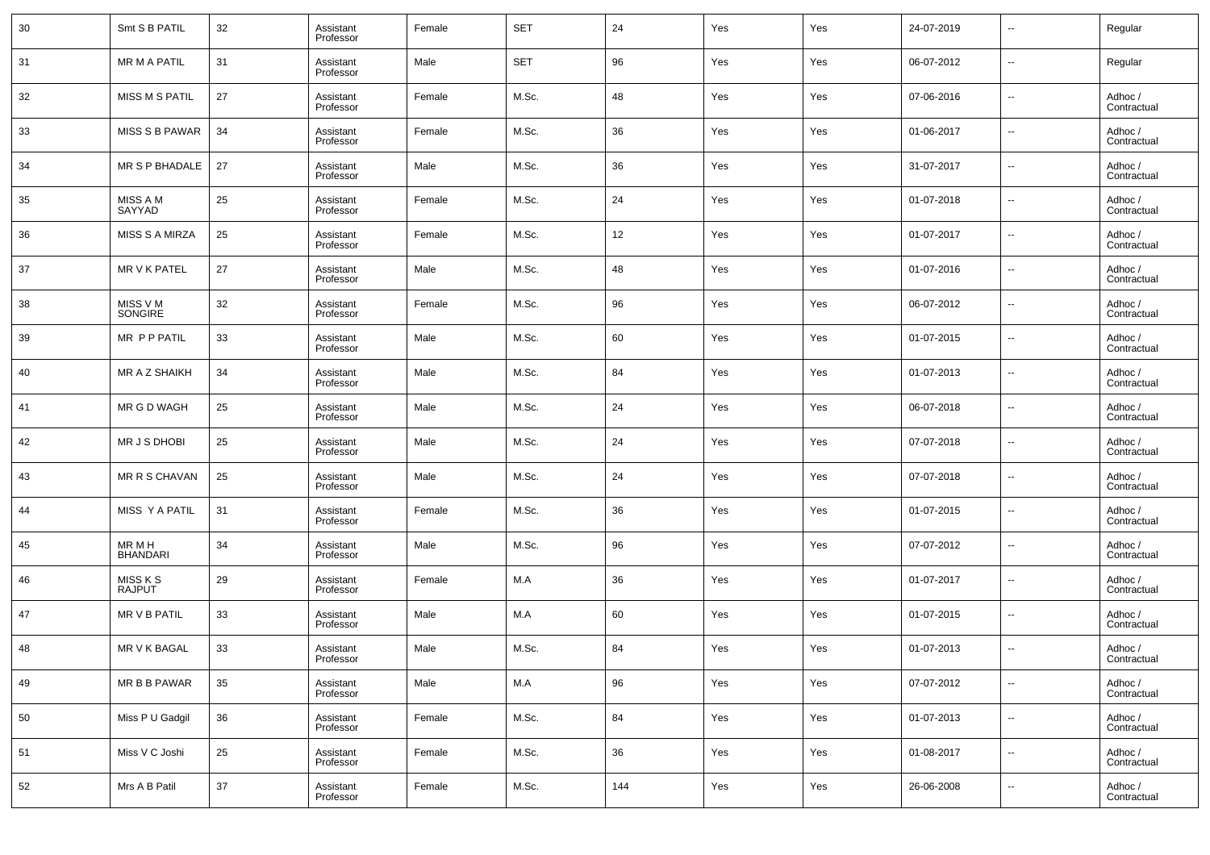| 30 | Smt S B PATIL             | 32 | Assistant<br>Professor | Female | <b>SET</b> | 24  | Yes | Yes | 24-07-2019 | --                       | Regular                |
|----|---------------------------|----|------------------------|--------|------------|-----|-----|-----|------------|--------------------------|------------------------|
| 31 | <b>MR M A PATIL</b>       | 31 | Assistant<br>Professor | Male   | <b>SET</b> | 96  | Yes | Yes | 06-07-2012 | $\overline{\phantom{a}}$ | Regular                |
| 32 | <b>MISS M S PATIL</b>     | 27 | Assistant<br>Professor | Female | M.Sc.      | 48  | Yes | Yes | 07-06-2016 | $\overline{\phantom{a}}$ | Adhoc /<br>Contractual |
| 33 | <b>MISS S B PAWAR</b>     | 34 | Assistant<br>Professor | Female | M.Sc.      | 36  | Yes | Yes | 01-06-2017 | --                       | Adhoc /<br>Contractual |
| 34 | MR S P BHADALE            | 27 | Assistant<br>Professor | Male   | M.Sc.      | 36  | Yes | Yes | 31-07-2017 | $\overline{\phantom{a}}$ | Adhoc /<br>Contractual |
| 35 | MISS A M<br>SAYYAD        | 25 | Assistant<br>Professor | Female | M.Sc.      | 24  | Yes | Yes | 01-07-2018 | --                       | Adhoc /<br>Contractual |
| 36 | <b>MISS S A MIRZA</b>     | 25 | Assistant<br>Professor | Female | M.Sc.      | 12  | Yes | Yes | 01-07-2017 | --                       | Adhoc /<br>Contractual |
| 37 | MR V K PATEL              | 27 | Assistant<br>Professor | Male   | M.Sc.      | 48  | Yes | Yes | 01-07-2016 | $\overline{\phantom{a}}$ | Adhoc /<br>Contractual |
| 38 | MISS V M<br>SONGIRE       | 32 | Assistant<br>Professor | Female | M.Sc.      | 96  | Yes | Yes | 06-07-2012 | --                       | Adhoc /<br>Contractual |
| 39 | MR P P PATIL              | 33 | Assistant<br>Professor | Male   | M.Sc.      | 60  | Yes | Yes | 01-07-2015 | $\overline{\phantom{a}}$ | Adhoc /<br>Contractual |
| 40 | MR A Z SHAIKH             | 34 | Assistant<br>Professor | Male   | M.Sc.      | 84  | Yes | Yes | 01-07-2013 | --                       | Adhoc /<br>Contractual |
| 41 | MR G D WAGH               | 25 | Assistant<br>Professor | Male   | M.Sc.      | 24  | Yes | Yes | 06-07-2018 | $\overline{\phantom{a}}$ | Adhoc /<br>Contractual |
| 42 | MR J S DHOBI              | 25 | Assistant<br>Professor | Male   | M.Sc.      | 24  | Yes | Yes | 07-07-2018 | $\overline{\phantom{a}}$ | Adhoc /<br>Contractual |
| 43 | MR R S CHAVAN             | 25 | Assistant<br>Professor | Male   | M.Sc.      | 24  | Yes | Yes | 07-07-2018 | --                       | Adhoc /<br>Contractual |
| 44 | MISS Y A PATIL            | 31 | Assistant<br>Professor | Female | M.Sc.      | 36  | Yes | Yes | 01-07-2015 | --                       | Adhoc /<br>Contractual |
| 45 | MR M H<br><b>BHANDARI</b> | 34 | Assistant<br>Professor | Male   | M.Sc.      | 96  | Yes | Yes | 07-07-2012 | $\overline{\phantom{a}}$ | Adhoc /<br>Contractual |
| 46 | MISS K S<br><b>RAJPUT</b> | 29 | Assistant<br>Professor | Female | M.A        | 36  | Yes | Yes | 01-07-2017 | $\overline{\phantom{a}}$ | Adhoc /<br>Contractual |
| 47 | MR V B PATIL              | 33 | Assistant<br>Professor | Male   | M.A        | 60  | Yes | Yes | 01-07-2015 | --                       | Adhoc /<br>Contractual |
| 48 | MR V K BAGAL              | 33 | Assistant<br>Professor | Male   | M.Sc.      | 84  | Yes | Yes | 01-07-2013 | $\sim$                   | Adhoc /<br>Contractual |
| 49 | MR B B PAWAR              | 35 | Assistant<br>Professor | Male   | M.A        | 96  | Yes | Yes | 07-07-2012 | ۰.                       | Adhoc /<br>Contractual |
| 50 | Miss P U Gadgil           | 36 | Assistant<br>Professor | Female | M.Sc.      | 84  | Yes | Yes | 01-07-2013 | ۰.                       | Adhoc /<br>Contractual |
| 51 | Miss V C Joshi            | 25 | Assistant<br>Professor | Female | M.Sc.      | 36  | Yes | Yes | 01-08-2017 | $\overline{\phantom{a}}$ | Adhoc /<br>Contractual |
| 52 | Mrs A B Patil             | 37 | Assistant<br>Professor | Female | M.Sc.      | 144 | Yes | Yes | 26-06-2008 | $\overline{\phantom{a}}$ | Adhoc /<br>Contractual |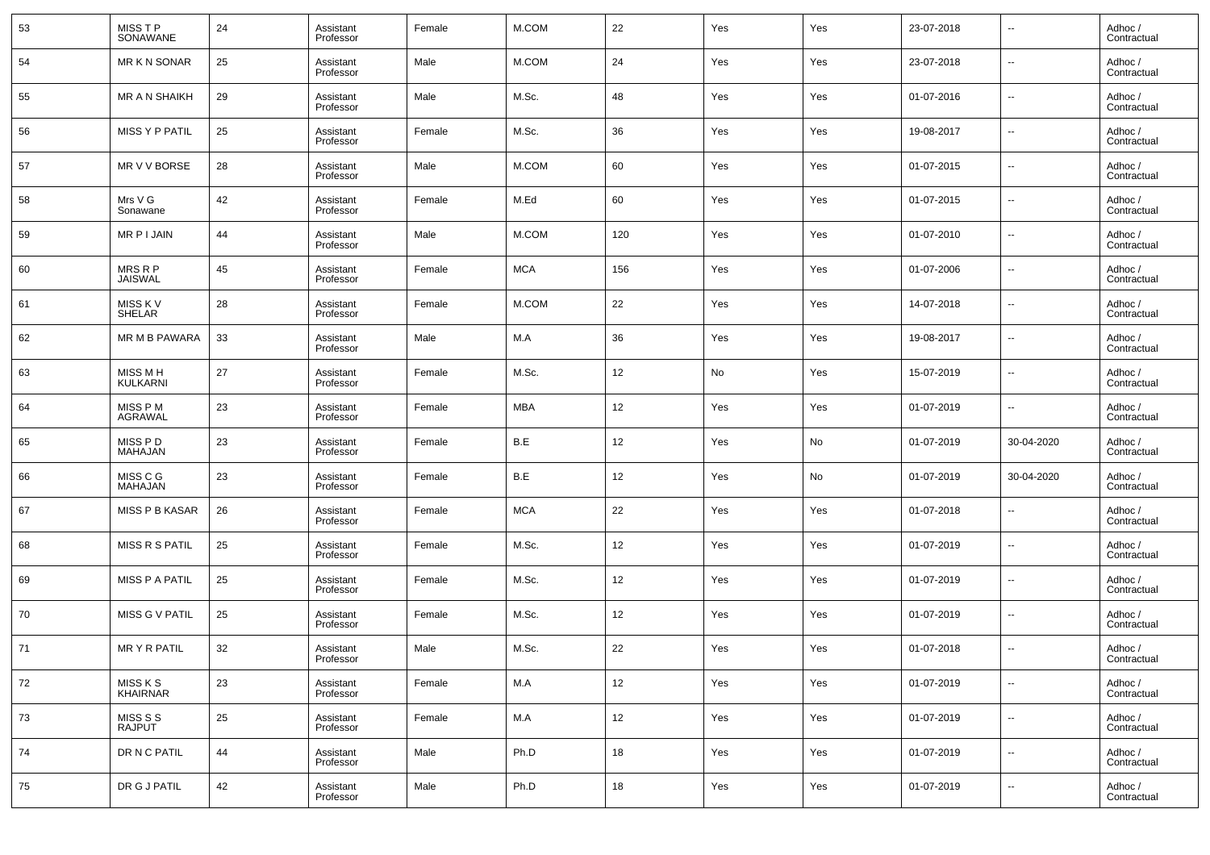| 53 | MISS T P<br>SONAWANE       | 24 | Assistant<br>Professor | Female | M.COM      | 22  | Yes | Yes | 23-07-2018 | $\overline{\phantom{a}}$ | Adhoc /<br>Contractual |
|----|----------------------------|----|------------------------|--------|------------|-----|-----|-----|------------|--------------------------|------------------------|
| 54 | <b>MR K N SONAR</b>        | 25 | Assistant<br>Professor | Male   | M.COM      | 24  | Yes | Yes | 23-07-2018 | $\overline{\phantom{a}}$ | Adhoc /<br>Contractual |
| 55 | <b>MR A N SHAIKH</b>       | 29 | Assistant<br>Professor | Male   | M.Sc.      | 48  | Yes | Yes | 01-07-2016 | $\overline{\phantom{a}}$ | Adhoc /<br>Contractual |
| 56 | MISS Y P PATIL             | 25 | Assistant<br>Professor | Female | M.Sc.      | 36  | Yes | Yes | 19-08-2017 | $\overline{\phantom{a}}$ | Adhoc /<br>Contractual |
| 57 | MR V V BORSE               | 28 | Assistant<br>Professor | Male   | M.COM      | 60  | Yes | Yes | 01-07-2015 | $\overline{\phantom{a}}$ | Adhoc /<br>Contractual |
| 58 | Mrs V G<br>Sonawane        | 42 | Assistant<br>Professor | Female | M.Ed       | 60  | Yes | Yes | 01-07-2015 | $\overline{\phantom{a}}$ | Adhoc /<br>Contractual |
| 59 | MR P I JAIN                | 44 | Assistant<br>Professor | Male   | M.COM      | 120 | Yes | Yes | 01-07-2010 | $\overline{\phantom{a}}$ | Adhoc /<br>Contractual |
| 60 | MRS R P<br>JAISWAL         | 45 | Assistant<br>Professor | Female | <b>MCA</b> | 156 | Yes | Yes | 01-07-2006 | $\overline{\phantom{a}}$ | Adhoc /<br>Contractual |
| 61 | MISS K V<br><b>SHELAR</b>  | 28 | Assistant<br>Professor | Female | M.COM      | 22  | Yes | Yes | 14-07-2018 | $\overline{\phantom{a}}$ | Adhoc /<br>Contractual |
| 62 | MR M B PAWARA              | 33 | Assistant<br>Professor | Male   | M.A        | 36  | Yes | Yes | 19-08-2017 | $\overline{\phantom{a}}$ | Adhoc /<br>Contractual |
| 63 | <b>MISS MH</b><br>KULKARNI | 27 | Assistant<br>Professor | Female | M.Sc.      | 12  | No  | Yes | 15-07-2019 | $\overline{\phantom{a}}$ | Adhoc /<br>Contractual |
| 64 | MISS P M<br>AGRAWAL        | 23 | Assistant<br>Professor | Female | MBA        | 12  | Yes | Yes | 01-07-2019 | $\overline{\phantom{a}}$ | Adhoc /<br>Contractual |
| 65 | MISS P D<br>MAHAJAN        | 23 | Assistant<br>Professor | Female | B.E        | 12  | Yes | No  | 01-07-2019 | 30-04-2020               | Adhoc /<br>Contractual |
| 66 | MISS C G<br>MAHAJAN        | 23 | Assistant<br>Professor | Female | B.E        | 12  | Yes | No  | 01-07-2019 | 30-04-2020               | Adhoc /<br>Contractual |
| 67 | <b>MISS P B KASAR</b>      | 26 | Assistant<br>Professor | Female | <b>MCA</b> | 22  | Yes | Yes | 01-07-2018 | $\overline{\phantom{a}}$ | Adhoc /<br>Contractual |
| 68 | MISS R S PATIL             | 25 | Assistant<br>Professor | Female | M.Sc.      | 12  | Yes | Yes | 01-07-2019 | $\overline{\phantom{a}}$ | Adhoc /<br>Contractual |
| 69 | <b>MISS P A PATIL</b>      | 25 | Assistant<br>Professor | Female | M.Sc.      | 12  | Yes | Yes | 01-07-2019 | $\overline{\phantom{a}}$ | Adhoc /<br>Contractual |
| 70 | MISS G V PATIL             | 25 | Assistant<br>Professor | Female | M.Sc.      | 12  | Yes | Yes | 01-07-2019 | $\overline{\phantom{a}}$ | Adhoc /<br>Contractual |
| 71 | <b>MRY R PATIL</b>         | 32 | Assistant<br>Professor | Male   | M.Sc.      | 22  | Yes | Yes | 01-07-2018 | $\overline{\phantom{a}}$ | Adhoc /<br>Contractual |
| 72 | MISS K S<br>KHAIRNAR       | 23 | Assistant<br>Professor | Female | M.A        | 12  | Yes | Yes | 01-07-2019 | $\overline{\phantom{a}}$ | Adhoc /<br>Contractual |
| 73 | MISS S S<br><b>RAJPUT</b>  | 25 | Assistant<br>Professor | Female | M.A        | 12  | Yes | Yes | 01-07-2019 | $\overline{\phantom{a}}$ | Adhoc /<br>Contractual |
| 74 | DR N C PATIL               | 44 | Assistant<br>Professor | Male   | Ph.D       | 18  | Yes | Yes | 01-07-2019 | ۰.                       | Adhoc /<br>Contractual |
| 75 | DR G J PATIL               | 42 | Assistant<br>Professor | Male   | Ph.D       | 18  | Yes | Yes | 01-07-2019 | $\overline{\phantom{a}}$ | Adhoc /<br>Contractual |